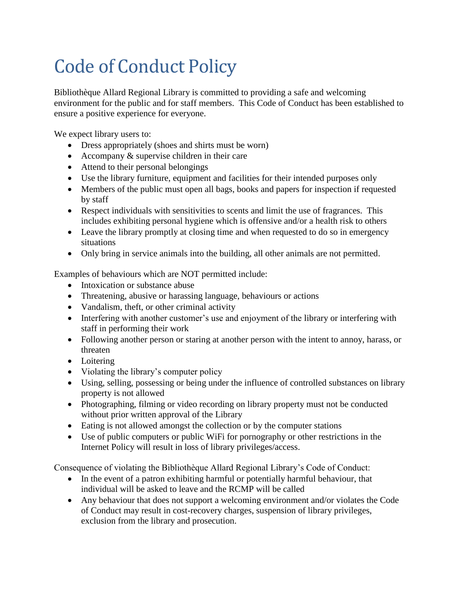## Code of Conduct Policy

Bibliothèque Allard Regional Library is committed to providing a safe and welcoming environment for the public and for staff members. This Code of Conduct has been established to ensure a positive experience for everyone.

We expect library users to:

- Dress appropriately (shoes and shirts must be worn)
- Accompany  $&$  supervise children in their care
- Attend to their personal belongings
- Use the library furniture, equipment and facilities for their intended purposes only
- Members of the public must open all bags, books and papers for inspection if requested by staff
- Respect individuals with sensitivities to scents and limit the use of fragrances. This includes exhibiting personal hygiene which is offensive and/or a health risk to others
- Leave the library promptly at closing time and when requested to do so in emergency situations
- Only bring in service animals into the building, all other animals are not permitted.

Examples of behaviours which are NOT permitted include:

- Intoxication or substance abuse
- Threatening, abusive or harassing language, behaviours or actions
- Vandalism, theft, or other criminal activity
- Interfering with another customer's use and enjoyment of the library or interfering with staff in performing their work
- Following another person or staring at another person with the intent to annoy, harass, or threaten
- Loitering
- Violating the library's computer policy
- Using, selling, possessing or being under the influence of controlled substances on library property is not allowed
- Photographing, filming or video recording on library property must not be conducted without prior written approval of the Library
- Eating is not allowed amongst the collection or by the computer stations
- Use of public computers or public WiFi for pornography or other restrictions in the Internet Policy will result in loss of library privileges/access.

Consequence of violating the Bibliothèque Allard Regional Library's Code of Conduct:

- In the event of a patron exhibiting harmful or potentially harmful behaviour, that individual will be asked to leave and the RCMP will be called
- Any behaviour that does not support a welcoming environment and/or violates the Code of Conduct may result in cost-recovery charges, suspension of library privileges, exclusion from the library and prosecution.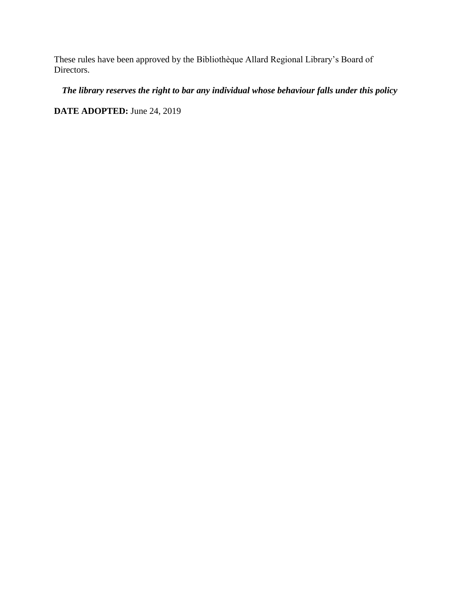These rules have been approved by the Bibliothèque Allard Regional Library's Board of Directors.

*The library reserves the right to bar any individual whose behaviour falls under this policy*

**DATE ADOPTED:** June 24, 2019